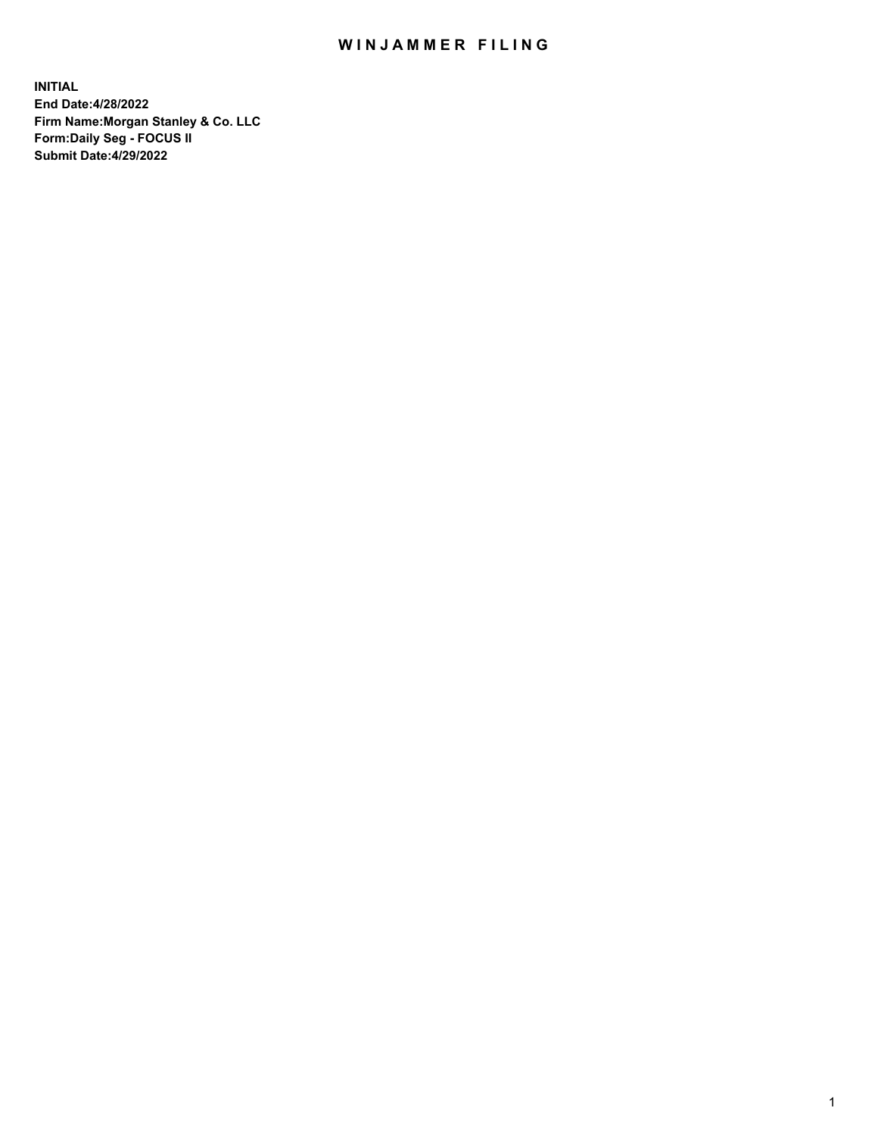## WIN JAMMER FILING

**INITIAL End Date:4/28/2022 Firm Name:Morgan Stanley & Co. LLC Form:Daily Seg - FOCUS II Submit Date:4/29/2022**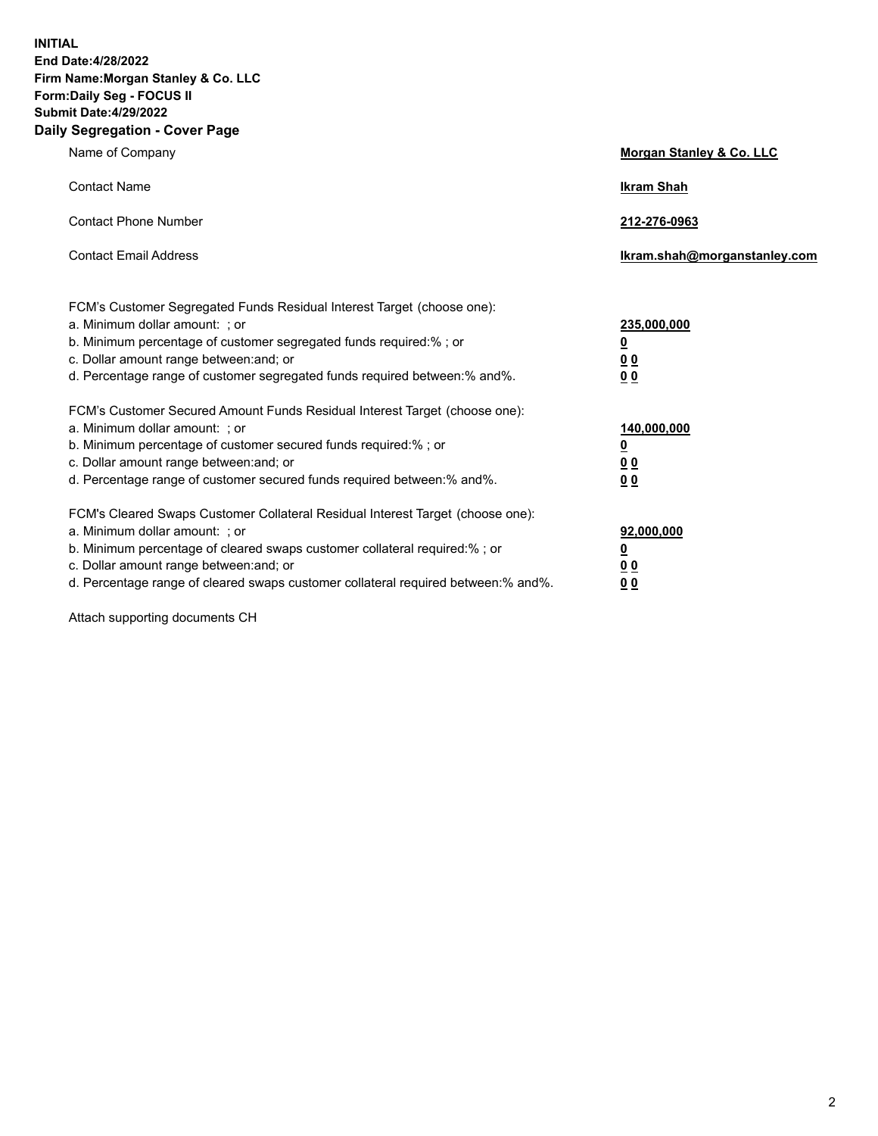**INITIAL End Date:4/28/2022 Firm Name:Morgan Stanley & Co. LLC Form:Daily Seg - FOCUS II Submit Date:4/29/2022 Daily Segregation - Cover Page**

| Name of Company                                                                                                                                                                                                                                                                                                                | Morgan Stanley & Co. LLC                                |
|--------------------------------------------------------------------------------------------------------------------------------------------------------------------------------------------------------------------------------------------------------------------------------------------------------------------------------|---------------------------------------------------------|
| <b>Contact Name</b>                                                                                                                                                                                                                                                                                                            | <b>Ikram Shah</b>                                       |
| <b>Contact Phone Number</b>                                                                                                                                                                                                                                                                                                    | 212-276-0963                                            |
| <b>Contact Email Address</b>                                                                                                                                                                                                                                                                                                   | Ikram.shah@morganstanley.com                            |
| FCM's Customer Segregated Funds Residual Interest Target (choose one):<br>a. Minimum dollar amount: ; or<br>b. Minimum percentage of customer segregated funds required:% ; or<br>c. Dollar amount range between: and; or<br>d. Percentage range of customer segregated funds required between:% and%.                         | 235,000,000<br><u>0</u><br><u>00</u><br><u>00</u>       |
| FCM's Customer Secured Amount Funds Residual Interest Target (choose one):<br>a. Minimum dollar amount: ; or<br>b. Minimum percentage of customer secured funds required:%; or<br>c. Dollar amount range between: and; or<br>d. Percentage range of customer secured funds required between:% and%.                            | 140,000,000<br><u>0</u><br><u>0 0</u><br>0 <sub>0</sub> |
| FCM's Cleared Swaps Customer Collateral Residual Interest Target (choose one):<br>a. Minimum dollar amount: ; or<br>b. Minimum percentage of cleared swaps customer collateral required:% ; or<br>c. Dollar amount range between: and; or<br>d. Percentage range of cleared swaps customer collateral required between:% and%. | 92,000,000<br><u>0</u><br><u>00</u><br>00               |

Attach supporting documents CH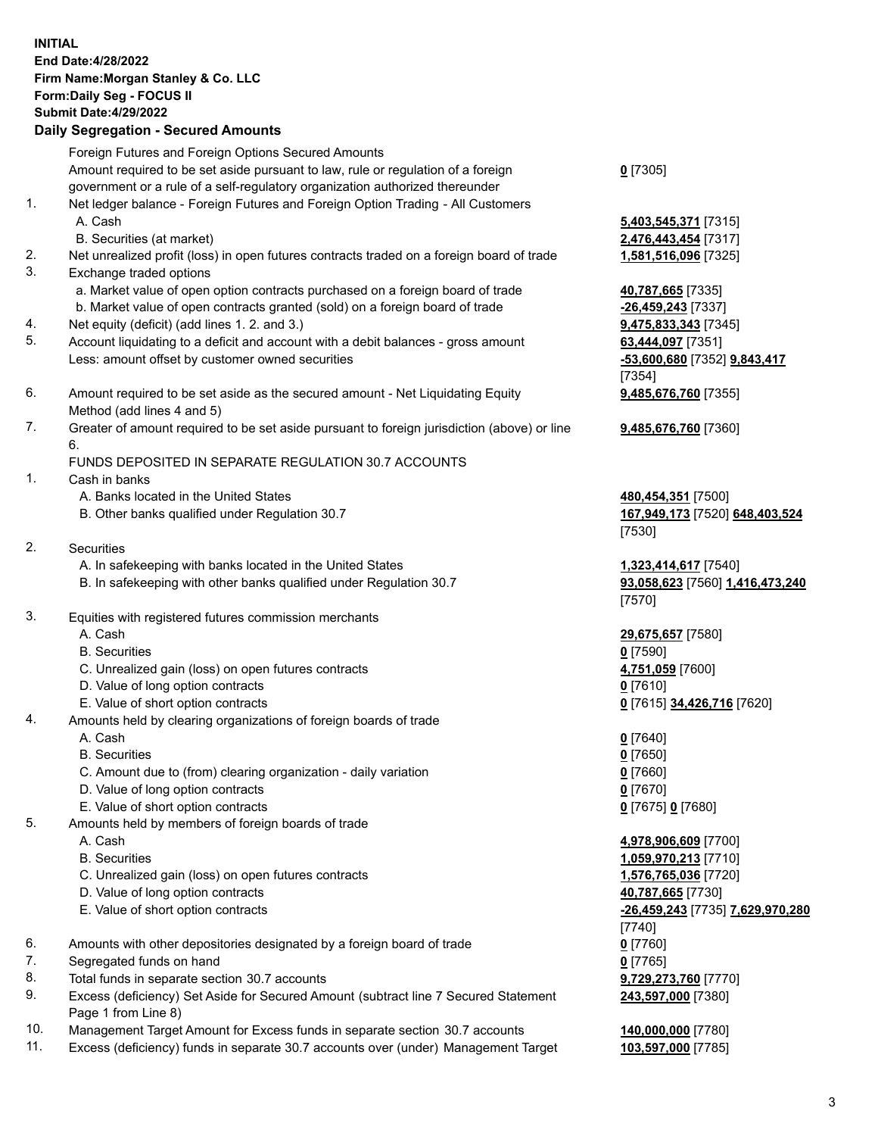## **INITIAL End Date:4/28/2022 Firm Name:Morgan Stanley & Co. LLC Form:Daily Seg - FOCUS II Submit Date:4/29/2022 Daily Segregation - Secured Amounts** Foreign Futures and Foreign Options Secured Amounts Amount required to be set aside pursuant to law, rule or regulation of a foreign government or a rule of a self-regulatory organization authorized thereunder 1. Net ledger balance - Foreign Futures and Foreign Option Trading - All Customers A. Cash **5,403,545,371** [7315] B. Securities (at market) **2,476,443,454** [7317] 2. Net unrealized profit (loss) in open futures contracts traded on a foreign board of trade **1,581,516,096** [7325] 3. Exchange traded options a. Market value of open option contracts purchased on a foreign board of trade **40,787,665** [7335] b. Market value of open contracts granted (sold) on a foreign board of trade **-26,459,243** [7337] 4. Net equity (deficit) (add lines 1. 2. and 3.) **9,475,833,343** [7345] 5. Account liquidating to a deficit and account with a debit balances - gross amount **63,444,097** [7351] Less: amount offset by customer owned securities **-53,600,680** [7352] **9,843,417** 6. Amount required to be set aside as the secured amount - Net Liquidating Equity Method (add lines 4 and 5) 7. Greater of amount required to be set aside pursuant to foreign jurisdiction (above) or line 6. FUNDS DEPOSITED IN SEPARATE REGULATION 30.7 ACCOUNTS 1. Cash in banks A. Banks located in the United States **480,454,351** [7500] B. Other banks qualified under Regulation 30.7 **167,949,173** [7520] **648,403,524** 2. Securities A. In safekeeping with banks located in the United States **1,323,414,617** [7540] B. In safekeeping with other banks qualified under Regulation 30.7 **93,058,623** [7560] **1,416,473,240** 3. Equities with registered futures commission merchants A. Cash **29,675,657** [7580] B. Securities **0** [7590] C. Unrealized gain (loss) on open futures contracts **4,751,059** [7600] D. Value of long option contracts **0** [7610] E. Value of short option contracts **0** [7615] **34,426,716** [7620] 4. Amounts held by clearing organizations of foreign boards of trade A. Cash **0** [7640] B. Securities **0** [7650] C. Amount due to (from) clearing organization - daily variation **0** [7660] D. Value of long option contracts **0** [7670] E. Value of short option contracts **0** [7675] **0** [7680] 5. Amounts held by members of foreign boards of trade A. Cash **4,978,906,609** [7700] B. Securities **1,059,970,213** [7710] C. Unrealized gain (loss) on open futures contracts **1,576,765,036** [7720] D. Value of long option contracts **40,787,665** [7730] E. Value of short option contracts **-26,459,243** [7735] **7,629,970,280**

- 6. Amounts with other depositories designated by a foreign board of trade **0** [7760]
- 7. Segregated funds on hand **0** [7765]
- 8. Total funds in separate section 30.7 accounts **9,729,273,760** [7770]
- 9. Excess (deficiency) Set Aside for Secured Amount (subtract line 7 Secured Statement Page 1 from Line 8)
- 10. Management Target Amount for Excess funds in separate section 30.7 accounts **140,000,000** [7780]
- 11. Excess (deficiency) funds in separate 30.7 accounts over (under) Management Target **103,597,000** [7785]

**0** [7305]

[7354]

[7530]

[7570]

**9,485,676,760** [7355]

**9,485,676,760** [7360]

[7740] **243,597,000** [7380]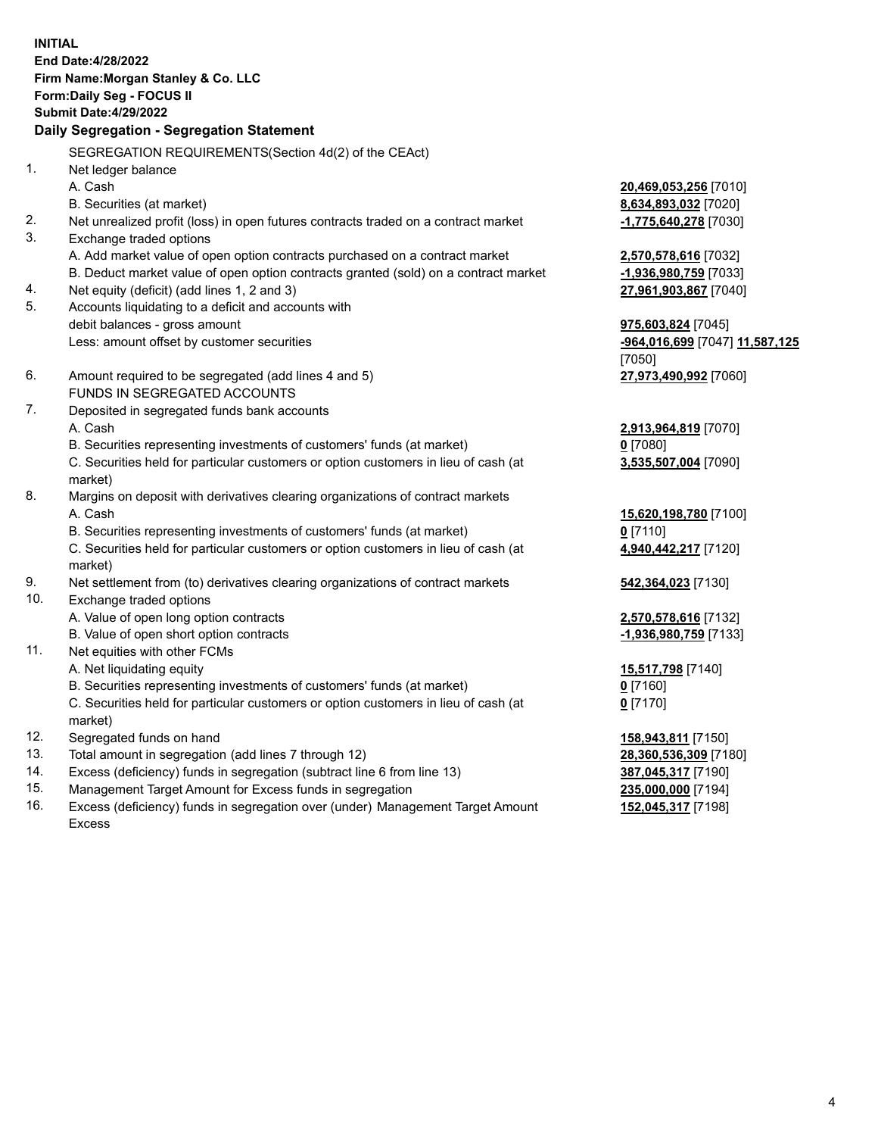**INITIAL End Date:4/28/2022 Firm Name:Morgan Stanley & Co. LLC Form:Daily Seg - FOCUS II Submit Date:4/29/2022 Daily Segregation - Segregation Statement** SEGREGATION REQUIREMENTS(Section 4d(2) of the CEAct) 1. Net ledger balance A. Cash **20,469,053,256** [7010] B. Securities (at market) **8,634,893,032** [7020] 2. Net unrealized profit (loss) in open futures contracts traded on a contract market **-1,775,640,278** [7030] 3. Exchange traded options A. Add market value of open option contracts purchased on a contract market **2,570,578,616** [7032] B. Deduct market value of open option contracts granted (sold) on a contract market **-1,936,980,759** [7033] 4. Net equity (deficit) (add lines 1, 2 and 3) **27,961,903,867** [7040] 5. Accounts liquidating to a deficit and accounts with debit balances - gross amount **975,603,824** [7045] Less: amount offset by customer securities **-964,016,699** [7047] **11,587,125** [7050] 6. Amount required to be segregated (add lines 4 and 5) **27,973,490,992** [7060] FUNDS IN SEGREGATED ACCOUNTS 7. Deposited in segregated funds bank accounts A. Cash **2,913,964,819** [7070] B. Securities representing investments of customers' funds (at market) **0** [7080] C. Securities held for particular customers or option customers in lieu of cash (at market) **3,535,507,004** [7090] 8. Margins on deposit with derivatives clearing organizations of contract markets A. Cash **15,620,198,780** [7100] B. Securities representing investments of customers' funds (at market) **0** [7110] C. Securities held for particular customers or option customers in lieu of cash (at market) **4,940,442,217** [7120] 9. Net settlement from (to) derivatives clearing organizations of contract markets **542,364,023** [7130] 10. Exchange traded options A. Value of open long option contracts **2,570,578,616** [7132] B. Value of open short option contracts **-1,936,980,759** [7133] 11. Net equities with other FCMs A. Net liquidating equity **15,517,798** [7140] B. Securities representing investments of customers' funds (at market) **0** [7160] C. Securities held for particular customers or option customers in lieu of cash (at market) **0** [7170] 12. Segregated funds on hand **158,943,811** [7150] 13. Total amount in segregation (add lines 7 through 12) **28,360,536,309** [7180] 14. Excess (deficiency) funds in segregation (subtract line 6 from line 13) **387,045,317** [7190]

- 15. Management Target Amount for Excess funds in segregation **235,000,000** [7194]
- 16. Excess (deficiency) funds in segregation over (under) Management Target Amount Excess

**152,045,317** [7198]